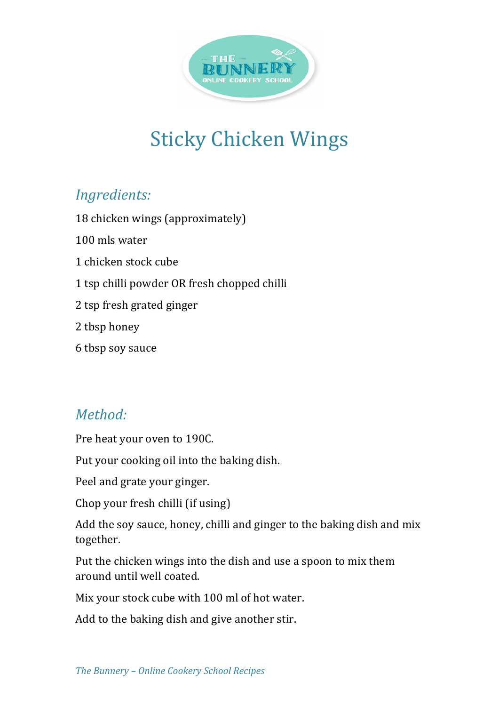

## **Sticky Chicken Wings**

## *Ingredients:*

18 chicken wings (approximately) 100 mls water 1 chicken stock cube 1 tsp chilli powder OR fresh chopped chilli 2 tsp fresh grated ginger 2 tbsp honey 6 tbsp soy sauce

## *Method:*

Pre heat your oven to 190C.

Put your cooking oil into the baking dish.

Peel and grate your ginger.

Chop your fresh chilli (if using)

Add the soy sauce, honey, chilli and ginger to the baking dish and mix together.

Put the chicken wings into the dish and use a spoon to mix them around until well coated.

Mix your stock cube with 100 ml of hot water.

Add to the baking dish and give another stir.